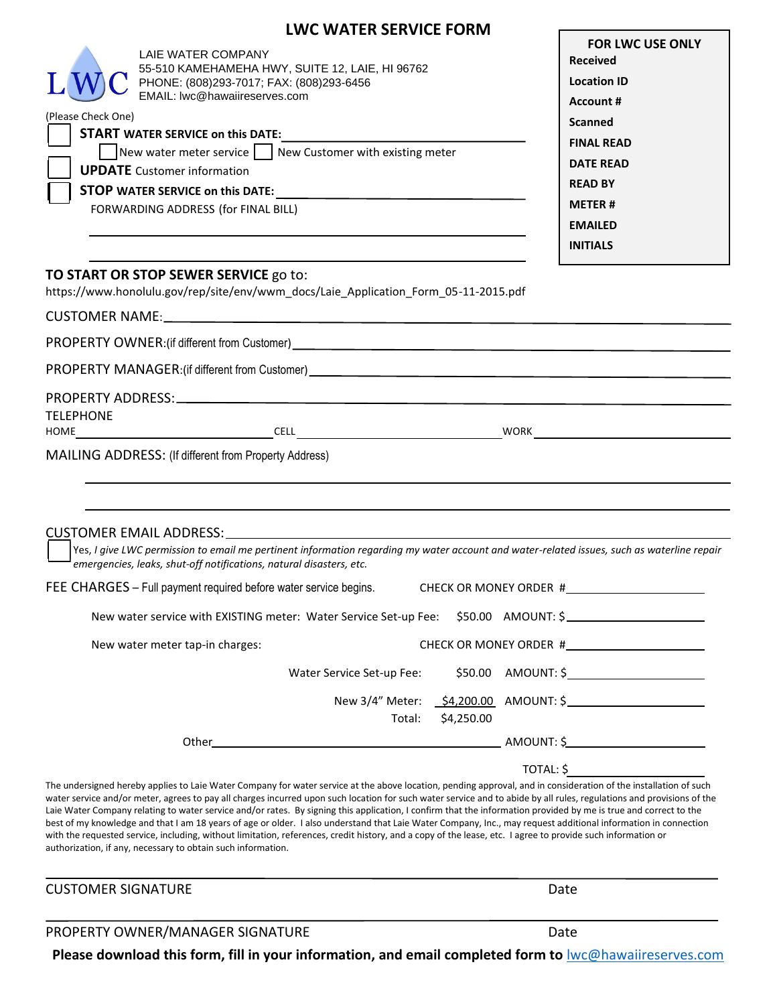# **LWC WATER SERVICE FORM**

| (Please Check One)       | 55-510 KAMEHAMEHA HWY, SUITE 12, LAIE, HI 96762<br>PHONE: (808)293-7017; FAX: (808)293-6456<br>EMAIL: Iwc@hawaiireserves.com<br><b>START WATER SERVICE on this DATE:</b><br>New water meter service $\Box$ New Customer with existing meter<br><b>UPDATE</b> Customer information<br>FORWARDING ADDRESS (for FINAL BILL) | <b>Received</b><br><b>Location ID</b><br><b>Account #</b><br><b>Scanned</b><br><b>FINAL READ</b><br><b>DATE READ</b><br><b>READ BY</b><br><b>METER#</b><br><b>EMAILED</b><br><b>INITIALS</b> |  |
|--------------------------|--------------------------------------------------------------------------------------------------------------------------------------------------------------------------------------------------------------------------------------------------------------------------------------------------------------------------|----------------------------------------------------------------------------------------------------------------------------------------------------------------------------------------------|--|
|                          | TO START OR STOP SEWER SERVICE go to:<br>https://www.honolulu.gov/rep/site/env/wwm_docs/Laie_Application_Form_05-11-2015.pdf                                                                                                                                                                                             |                                                                                                                                                                                              |  |
|                          |                                                                                                                                                                                                                                                                                                                          |                                                                                                                                                                                              |  |
|                          | PROPERTY MANAGER: (if different from Customer) _________________________________                                                                                                                                                                                                                                         |                                                                                                                                                                                              |  |
| <b>TELEPHONE</b><br>HOME | <u> Andreas Andreas Andreas Andreas Andreas Andreas Andreas Andreas Andreas Andreas Andreas Andreas Andreas Andr</u>                                                                                                                                                                                                     | WORK                                                                                                                                                                                         |  |

s, I give LWC permission to email me pertinent information regarding my water account and water-related issues, such as waterline repai*r emergencies, leaks, shut-off notifications, natural disasters, etc.*

| FEE CHARGES - Full payment required before water service begins.                    | CHECK OR MONEY ORDER #                |
|-------------------------------------------------------------------------------------|---------------------------------------|
| New water service with EXISTING meter: Water Service Set-up Fee: \$50.00 AMOUNT: \$ |                                       |
| New water meter tap-in charges:                                                     | CHECK OR MONEY ORDER #                |
| Water Service Set-up Fee:                                                           | $$50.00$ AMOUNT: $$$                  |
|                                                                                     | New 3/4" Meter: \$4,200.00 AMOUNT: \$ |
| Total:                                                                              | \$4,250.00                            |

Other AMOUNT: \$ TOTAL: \$

The undersigned hereby applies to Laie Water Company for water service at the above location, pending approval, and in consideration of the installation of such water service and/or meter, agrees to pay all charges incurred upon such location for such water service and to abide by all rules, regulations and provisions of the Laie Water Company relating to water service and/or rates. By signing this application, I confirm that the information provided by me is true and correct to the best of my knowledge and that I am 18 years of age or older. I also understand that Laie Water Company, Inc., may request additional information in connection with the requested service, including, without limitation, references, credit history, and a copy of the lease, etc. I agree to provide such information or authorization, if any, necessary to obtain such information.

| <b>CUSTOMER SIGNATURE</b> | Date |
|---------------------------|------|
|                           |      |

PROPERTY OWNER/MANAGER SIGNATURE DATE DATE

**Please download this form, fill in your information, and email completed form to** [lwc@hawaiireserves.com](mailto:lwc@hawaiireserves.com)